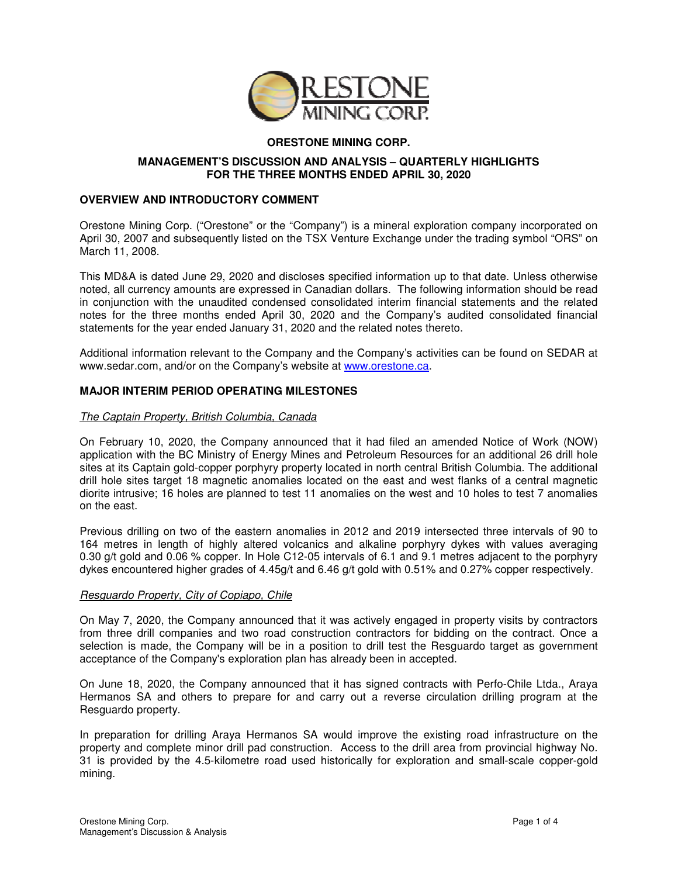

# **ORESTONE MINING CORP.**

## **MANAGEMENT'S DISCUSSION AND ANALYSIS – QUARTERLY HIGHLIGHTS FOR THE THREE MONTHS ENDED APRIL 30, 2020**

### **OVERVIEW AND INTRODUCTORY COMMENT**

Orestone Mining Corp. ("Orestone" or the "Company") is a mineral exploration company incorporated on April 30, 2007 and subsequently listed on the TSX Venture Exchange under the trading symbol "ORS" on March 11, 2008.

This MD&A is dated June 29, 2020 and discloses specified information up to that date. Unless otherwise noted, all currency amounts are expressed in Canadian dollars. The following information should be read in conjunction with the unaudited condensed consolidated interim financial statements and the related notes for the three months ended April 30, 2020 and the Company's audited consolidated financial statements for the year ended January 31, 2020 and the related notes thereto.

Additional information relevant to the Company and the Company's activities can be found on SEDAR at www.sedar.com, and/or on the Company's website at www.orestone.ca.

## **MAJOR INTERIM PERIOD OPERATING MILESTONES**

#### The Captain Property, British Columbia, Canada

On February 10, 2020, the Company announced that it had filed an amended Notice of Work (NOW) application with the BC Ministry of Energy Mines and Petroleum Resources for an additional 26 drill hole sites at its Captain gold-copper porphyry property located in north central British Columbia. The additional drill hole sites target 18 magnetic anomalies located on the east and west flanks of a central magnetic diorite intrusive; 16 holes are planned to test 11 anomalies on the west and 10 holes to test 7 anomalies on the east.

Previous drilling on two of the eastern anomalies in 2012 and 2019 intersected three intervals of 90 to 164 metres in length of highly altered volcanics and alkaline porphyry dykes with values averaging 0.30 g/t gold and 0.06 % copper. In Hole C12-05 intervals of 6.1 and 9.1 metres adjacent to the porphyry dykes encountered higher grades of 4.45g/t and 6.46 g/t gold with 0.51% and 0.27% copper respectively.

#### Resguardo Property, City of Copiapo, Chile

On May 7, 2020, the Company announced that it was actively engaged in property visits by contractors from three drill companies and two road construction contractors for bidding on the contract. Once a selection is made, the Company will be in a position to drill test the Resquardo target as government acceptance of the Company's exploration plan has already been in accepted.

On June 18, 2020, the Company announced that it has signed contracts with Perfo-Chile Ltda., Araya Hermanos SA and others to prepare for and carry out a reverse circulation drilling program at the Resguardo property.

In preparation for drilling Araya Hermanos SA would improve the existing road infrastructure on the property and complete minor drill pad construction. Access to the drill area from provincial highway No. 31 is provided by the 4.5-kilometre road used historically for exploration and small-scale copper-gold mining.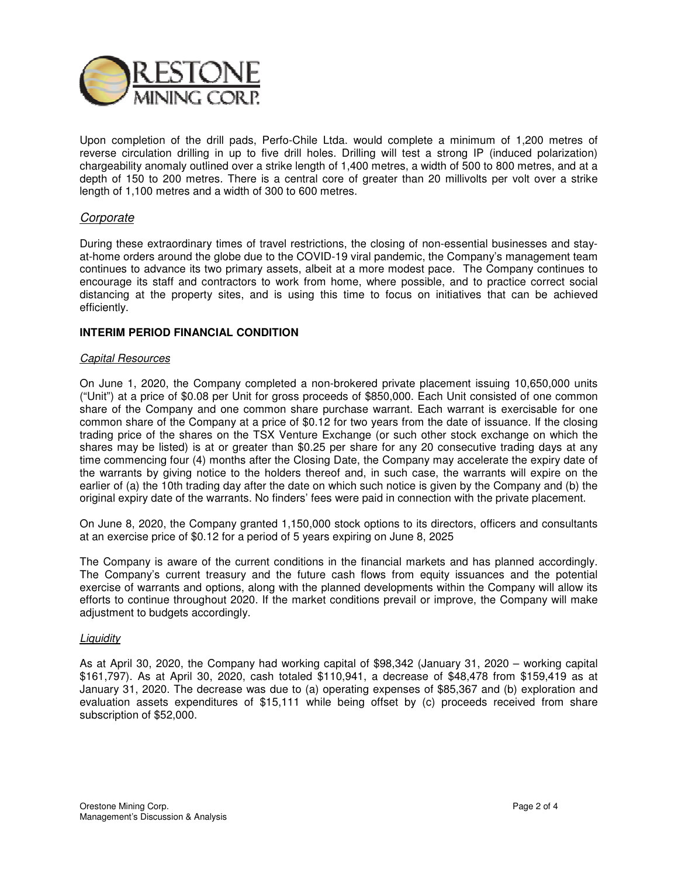

Upon completion of the drill pads, Perfo-Chile Ltda. would complete a minimum of 1,200 metres of reverse circulation drilling in up to five drill holes. Drilling will test a strong IP (induced polarization) chargeability anomaly outlined over a strike length of 1,400 metres, a width of 500 to 800 metres, and at a depth of 150 to 200 metres. There is a central core of greater than 20 millivolts per volt over a strike length of 1,100 metres and a width of 300 to 600 metres.

## Corporate

During these extraordinary times of travel restrictions, the closing of non-essential businesses and stayat-home orders around the globe due to the COVID-19 viral pandemic, the Company's management team continues to advance its two primary assets, albeit at a more modest pace. The Company continues to encourage its staff and contractors to work from home, where possible, and to practice correct social distancing at the property sites, and is using this time to focus on initiatives that can be achieved efficiently.

#### **INTERIM PERIOD FINANCIAL CONDITION**

#### Capital Resources

On June 1, 2020, the Company completed a non-brokered private placement issuing 10,650,000 units ("Unit") at a price of \$0.08 per Unit for gross proceeds of \$850,000. Each Unit consisted of one common share of the Company and one common share purchase warrant. Each warrant is exercisable for one common share of the Company at a price of \$0.12 for two years from the date of issuance. If the closing trading price of the shares on the TSX Venture Exchange (or such other stock exchange on which the shares may be listed) is at or greater than \$0.25 per share for any 20 consecutive trading days at any time commencing four (4) months after the Closing Date, the Company may accelerate the expiry date of the warrants by giving notice to the holders thereof and, in such case, the warrants will expire on the earlier of (a) the 10th trading day after the date on which such notice is given by the Company and (b) the original expiry date of the warrants. No finders' fees were paid in connection with the private placement.

On June 8, 2020, the Company granted 1,150,000 stock options to its directors, officers and consultants at an exercise price of \$0.12 for a period of 5 years expiring on June 8, 2025

The Company is aware of the current conditions in the financial markets and has planned accordingly. The Company's current treasury and the future cash flows from equity issuances and the potential exercise of warrants and options, along with the planned developments within the Company will allow its efforts to continue throughout 2020. If the market conditions prevail or improve, the Company will make adjustment to budgets accordingly.

#### **Liquidity**

As at April 30, 2020, the Company had working capital of \$98,342 (January 31, 2020 – working capital \$161,797). As at April 30, 2020, cash totaled \$110,941, a decrease of \$48,478 from \$159,419 as at January 31, 2020. The decrease was due to (a) operating expenses of \$85,367 and (b) exploration and evaluation assets expenditures of \$15,111 while being offset by (c) proceeds received from share subscription of \$52,000.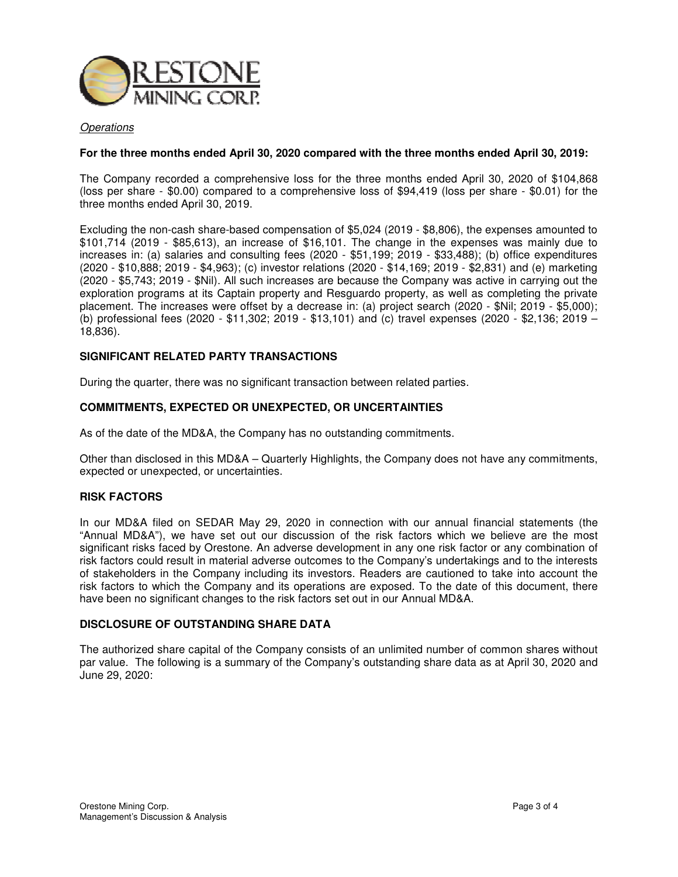

### **Operations**

#### **For the three months ended April 30, 2020 compared with the three months ended April 30, 2019:**

The Company recorded a comprehensive loss for the three months ended April 30, 2020 of \$104,868 (loss per share - \$0.00) compared to a comprehensive loss of \$94,419 (loss per share - \$0.01) for the three months ended April 30, 2019.

Excluding the non-cash share-based compensation of \$5,024 (2019 - \$8,806), the expenses amounted to \$101,714 (2019 - \$85,613), an increase of \$16,101. The change in the expenses was mainly due to increases in: (a) salaries and consulting fees (2020 - \$51,199; 2019 - \$33,488); (b) office expenditures (2020 - \$10,888; 2019 - \$4,963); (c) investor relations (2020 - \$14,169; 2019 - \$2,831) and (e) marketing (2020 - \$5,743; 2019 - \$Nil). All such increases are because the Company was active in carrying out the exploration programs at its Captain property and Resguardo property, as well as completing the private placement. The increases were offset by a decrease in: (a) project search (2020 - \$Nil; 2019 - \$5,000); (b) professional fees (2020 - \$11,302; 2019 - \$13,101) and (c) travel expenses (2020 - \$2,136; 2019 – 18,836).

## **SIGNIFICANT RELATED PARTY TRANSACTIONS**

During the quarter, there was no significant transaction between related parties.

## **COMMITMENTS, EXPECTED OR UNEXPECTED, OR UNCERTAINTIES**

As of the date of the MD&A, the Company has no outstanding commitments.

Other than disclosed in this MD&A – Quarterly Highlights, the Company does not have any commitments, expected or unexpected, or uncertainties.

#### **RISK FACTORS**

In our MD&A filed on SEDAR May 29, 2020 in connection with our annual financial statements (the "Annual MD&A"), we have set out our discussion of the risk factors which we believe are the most significant risks faced by Orestone. An adverse development in any one risk factor or any combination of risk factors could result in material adverse outcomes to the Company's undertakings and to the interests of stakeholders in the Company including its investors. Readers are cautioned to take into account the risk factors to which the Company and its operations are exposed. To the date of this document, there have been no significant changes to the risk factors set out in our Annual MD&A.

## **DISCLOSURE OF OUTSTANDING SHARE DATA**

The authorized share capital of the Company consists of an unlimited number of common shares without par value. The following is a summary of the Company's outstanding share data as at April 30, 2020 and June 29, 2020: